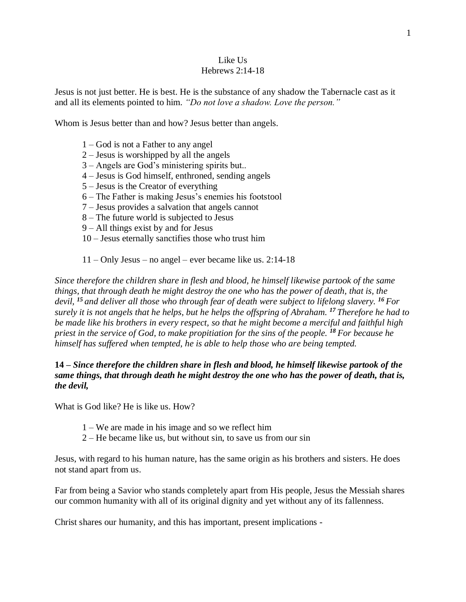#### Like Us Hebrews 2:14-18

Jesus is not just better. He is best. He is the substance of any shadow the Tabernacle cast as it and all its elements pointed to him. *"Do not love a shadow. Love the person."*

Whom is Jesus better than and how? Jesus better than angels.

- 1 God is not a Father to any angel
- 2 Jesus is worshipped by all the angels
- 3 Angels are God's ministering spirits but..
- 4 Jesus is God himself, enthroned, sending angels
- 5 Jesus is the Creator of everything
- 6 The Father is making Jesus's enemies his footstool
- 7 Jesus provides a salvation that angels cannot
- 8 The future world is subjected to Jesus
- 9 All things exist by and for Jesus
- 10 Jesus eternally sanctifies those who trust him

11 – Only Jesus – no angel – ever became like us. 2:14-18

*Since therefore the children share in flesh and blood, he himself likewise partook of the same things, that through death he might destroy the one who has the power of death, that is, the devil, <sup>15</sup> and deliver all those who through fear of death were subject to lifelong slavery. <sup>16</sup> For surely it is not angels that he helps, but he helps the offspring of Abraham. <sup>17</sup> Therefore he had to be made like his brothers in every respect, so that he might become a merciful and faithful high priest in the service of God, to make propitiation for the sins of the people. <sup>18</sup> For because he himself has suffered when tempted, he is able to help those who are being tempted.*

**14 –** *Since therefore the children share in flesh and blood, he himself likewise partook of the same things, that through death he might destroy the one who has the power of death, that is, the devil,*

What is God like? He is like us. How?

- 1 We are made in his image and so we reflect him
- 2 He became like us, but without sin, to save us from our sin

Jesus, with regard to his human nature, has the same origin as his brothers and sisters. He does not stand apart from us.

Far from being a Savior who stands completely apart from His people, Jesus the Messiah shares our common humanity with all of its original dignity and yet without any of its fallenness.

Christ shares our humanity, and this has important, present implications -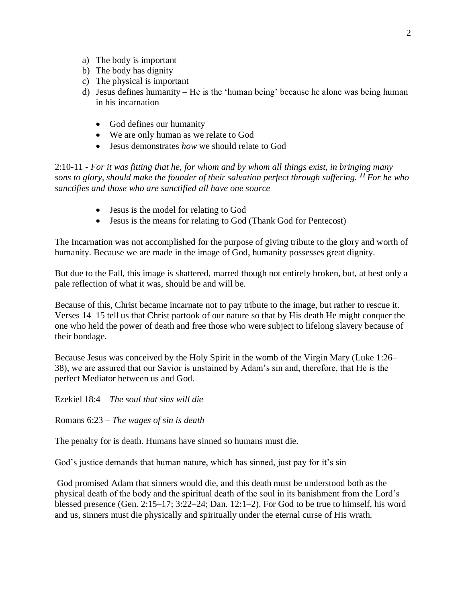- a) The body is important
- b) The body has dignity
- c) The physical is important
- d) Jesus defines humanity He is the 'human being' because he alone was being human in his incarnation
	- God defines our humanity
	- We are only human as we relate to God
	- Jesus demonstrates *how* we should relate to God

2:10-11 - *For it was fitting that he, for whom and by whom all things exist, in bringing many sons to glory, should make the founder of their salvation perfect through suffering. <sup>11</sup> For he who sanctifies and those who are sanctified all have one source*

- Jesus is the model for relating to God
- Jesus is the means for relating to God (Thank God for Pentecost)

The Incarnation was not accomplished for the purpose of giving tribute to the glory and worth of humanity. Because we are made in the image of God, humanity possesses great dignity.

But due to the Fall, this image is shattered, marred though not entirely broken, but, at best only a pale reflection of what it was, should be and will be.

Because of this, Christ became incarnate not to pay tribute to the image, but rather to rescue it. Verses 14–15 tell us that Christ partook of our nature so that by His death He might conquer the one who held the power of death and free those who were subject to lifelong slavery because of their bondage.

Because Jesus was conceived by the Holy Spirit in the womb of the Virgin Mary (Luke 1:26– 38), we are assured that our Savior is unstained by Adam's sin and, therefore, that He is the perfect Mediator between us and God.

Ezekiel 18:4 – *The soul that sins will die*

Romans 6:23 – *The wages of sin is death*

The penalty for is death. Humans have sinned so humans must die.

God's justice demands that human nature, which has sinned, just pay for it's sin

God promised Adam that sinners would die, and this death must be understood both as the physical death of the body and the spiritual death of the soul in its banishment from the Lord's blessed presence (Gen. 2:15–17; 3:22–24; Dan. 12:1–2). For God to be true to himself, his word and us, sinners must die physically and spiritually under the eternal curse of His wrath.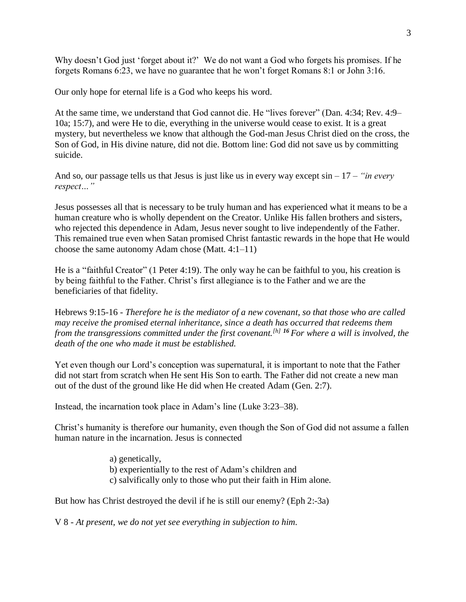Why doesn't God just 'forget about it?' We do not want a God who forgets his promises. If he forgets Romans 6:23, we have no guarantee that he won't forget Romans 8:1 or John 3:16.

Our only hope for eternal life is a God who keeps his word.

At the same time, we understand that God cannot die. He "lives forever" (Dan. 4:34; Rev. 4:9– 10a; 15:7), and were He to die, everything in the universe would cease to exist. It is a great mystery, but nevertheless we know that although the God-man Jesus Christ died on the cross, the Son of God, in His divine nature, did not die. Bottom line: God did not save us by committing suicide.

And so, our passage tells us that Jesus is just like us in every way except sin – 17 – *"in every respect…"*

Jesus possesses all that is necessary to be truly human and has experienced what it means to be a human creature who is wholly dependent on the Creator. Unlike His fallen brothers and sisters, who rejected this dependence in Adam, Jesus never sought to live independently of the Father. This remained true even when Satan promised Christ fantastic rewards in the hope that He would choose the same autonomy Adam chose (Matt. 4:1–11)

He is a "faithful Creator" (1 Peter 4:19). The only way he can be faithful to you, his creation is by being faithful to the Father. Christ's first allegiance is to the Father and we are the beneficiaries of that fidelity.

Hebrews 9:15-16 - *Therefore he is the mediator of a new covenant, so that those who are called may receive the promised eternal inheritance, since a death has occurred that redeems them from the transgressions committed under the first covenant.[\[h\]](https://www.biblegateway.com/passage/?search=Hebrews+9&version=ESV#fen-ESV-30104h) <sup>16</sup> For where a will is involved, the death of the one who made it must be established.*

Yet even though our Lord's conception was supernatural, it is important to note that the Father did not start from scratch when He sent His Son to earth. The Father did not create a new man out of the dust of the ground like He did when He created Adam (Gen. 2:7).

Instead, the incarnation took place in Adam's line (Luke 3:23–38).

Christ's humanity is therefore our humanity, even though the Son of God did not assume a fallen human nature in the incarnation. Jesus is connected

- a) genetically,
- b) experientially to the rest of Adam's children and
- c) salvifically only to those who put their faith in Him alone.

But how has Christ destroyed the devil if he is still our enemy? (Eph 2:-3a)

V 8 - *At present, we do not yet see everything in subjection to him.*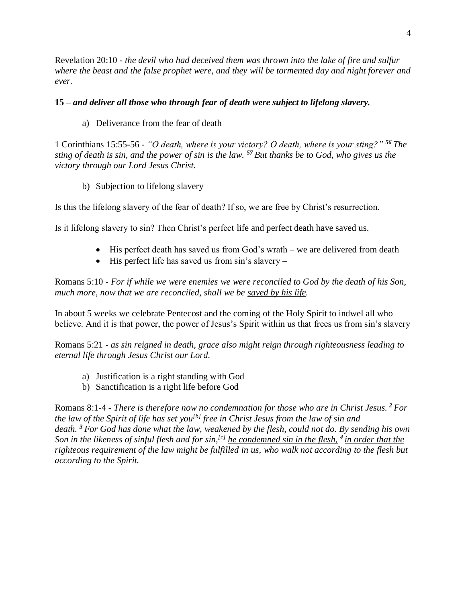Revelation 20:10 - *the devil who had deceived them was thrown into the lake of fire and sulfur where the beast and the false prophet were, and they will be tormented day and night forever and ever.*

### **15 –** *and deliver all those who through fear of death were subject to lifelong slavery.*

a) Deliverance from the fear of death

1 Corinthians 15:55-56 - *"O death, where is your victory? O death, where is your sting?" <sup>56</sup> The sting of death is sin, and the power of sin is the law. <sup>57</sup> But thanks be to God, who gives us the victory through our Lord Jesus Christ.*

b) Subjection to lifelong slavery

Is this the lifelong slavery of the fear of death? If so, we are free by Christ's resurrection.

Is it lifelong slavery to sin? Then Christ's perfect life and perfect death have saved us.

- His perfect death has saved us from God's wrath we are delivered from death
- His perfect life has saved us from sin's slavery –

Romans 5:10 - *For if while we were enemies we were reconciled to God by the death of his Son, much more, now that we are reconciled, shall we be saved by his life.*

In about 5 weeks we celebrate Pentecost and the coming of the Holy Spirit to indwel all who believe. And it is that power, the power of Jesus's Spirit within us that frees us from sin's slavery

Romans 5:21 - *as sin reigned in death, grace also might reign through righteousness leading to eternal life through Jesus Christ our Lord.*

- a) Justification is a right standing with God
- b) Sanctification is a right life before God

Romans 8:1-4 - *There is therefore now no condemnation for those who are in Christ Jesus. <sup>2</sup> For the law of the Spirit of life has set you[\[b\]](https://www.biblegateway.com/passage/?search=romans+8&version=ESV#fen-ESV-28103b) free in Christ Jesus from the law of sin and death. <sup>3</sup> For God has done what the law, weakened by the flesh, could not do. By sending his own Son in the likeness of sinful flesh and for sin,[\[c\]](https://www.biblegateway.com/passage/?search=romans+8&version=ESV#fen-ESV-28104c) he condemned sin in the flesh, <sup>4</sup> in order that the righteous requirement of the law might be fulfilled in us, who walk not according to the flesh but according to the Spirit.*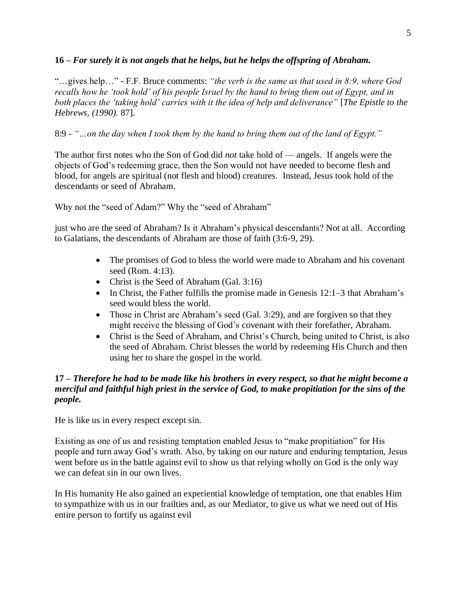### **16 –** *For surely it is not angels that he helps, but he helps the offspring of Abraham.*

"…gives help…" - F.F. Bruce comments: *"the verb is the same as that used in 8:9, where God recalls how he 'took hold' of his people Israel by the hand to bring them out of Egypt, and in both places the 'taking hold' carries with it the idea of help and deliverance"* [*The Epistle to the Hebrews, (1990).* 87].

## 8:9 - *"…on the day when I took them by the hand to bring them out of the land of Egypt."*

The author first notes who the Son of God did *not* take hold of — angels. If angels were the objects of God's redeeming grace, then the Son would not have needed to become flesh and blood, for angels are spiritual (not flesh and blood) creatures. Instead, Jesus took hold of the descendants or seed of Abraham.

Why not the "seed of Adam?" Why the "seed of Abraham"

just who are the seed of Abraham? Is it Abraham's physical descendants? Not at all. According to Galatians, the descendants of Abraham are those of faith (3:6-9, 29).

- The promises of God to bless the world were made to Abraham and his covenant seed (Rom. 4:13).
- Christ is the Seed of Abraham (Gal. 3:16)
- In Christ, the Father fulfills the promise made in Genesis 12:1–3 that Abraham's seed would bless the world.
- Those in Christ are Abraham's seed (Gal. 3:29), and are forgiven so that they might receive the blessing of God's covenant with their forefather, Abraham.
- Christ is the Seed of Abraham, and Christ's Church, being united to Christ, is also the seed of Abraham. Christ blesses the world by redeeming His Church and then using her to share the gospel in the world.

## **17 –** *Therefore he had to be made like his brothers in every respect, so that he might become a merciful and faithful high priest in the service of God, to make propitiation for the sins of the people.*

He is like us in every respect except sin.

Existing as one of us and resisting temptation enabled Jesus to "make propitiation" for His people and turn away God's wrath. Also, by taking on our nature and enduring temptation, Jesus went before us in the battle against evil to show us that relying wholly on God is the only way we can defeat sin in our own lives.

In His humanity He also gained an experiential knowledge of temptation, one that enables Him to sympathize with us in our frailties and, as our Mediator, to give us what we need out of His entire person to fortify us against evil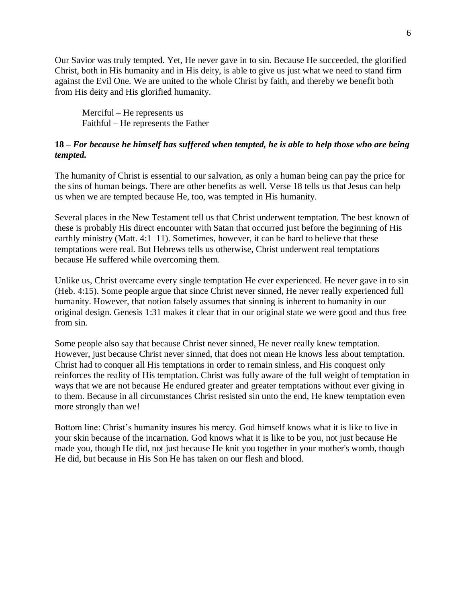Our Savior was truly tempted. Yet, He never gave in to sin. Because He succeeded, the glorified Christ, both in His humanity and in His deity, is able to give us just what we need to stand firm against the Evil One. We are united to the whole Christ by faith, and thereby we benefit both from His deity and His glorified humanity.

Merciful – He represents us Faithful – He represents the Father

#### **18 –** *For because he himself has suffered when tempted, he is able to help those who are being tempted.*

The humanity of Christ is essential to our salvation, as only a human being can pay the price for the sins of human beings. There are other benefits as well. Verse 18 tells us that Jesus can help us when we are tempted because He, too, was tempted in His humanity.

Several places in the New Testament tell us that Christ underwent temptation. The best known of these is probably His direct encounter with Satan that occurred just before the beginning of His earthly ministry (Matt. 4:1–11). Sometimes, however, it can be hard to believe that these temptations were real. But Hebrews tells us otherwise, Christ underwent real temptations because He suffered while overcoming them.

Unlike us, Christ overcame every single temptation He ever experienced. He never gave in to sin (Heb. 4:15). Some people argue that since Christ never sinned, He never really experienced full humanity. However, that notion falsely assumes that sinning is inherent to humanity in our original design. Genesis 1:31 makes it clear that in our original state we were good and thus free from sin.

Some people also say that because Christ never sinned, He never really knew temptation. However, just because Christ never sinned, that does not mean He knows less about temptation. Christ had to conquer all His temptations in order to remain sinless, and His conquest only reinforces the reality of His temptation. Christ was fully aware of the full weight of temptation in ways that we are not because He endured greater and greater temptations without ever giving in to them. Because in all circumstances Christ resisted sin unto the end, He knew temptation even more strongly than we!

Bottom line: Christ's humanity insures his mercy. God himself knows what it is like to live in your skin because of the incarnation. God knows what it is like to be you, not just because He made you, though He did, not just because He knit you together in your mother's womb, though He did, but because in His Son He has taken on our flesh and blood.